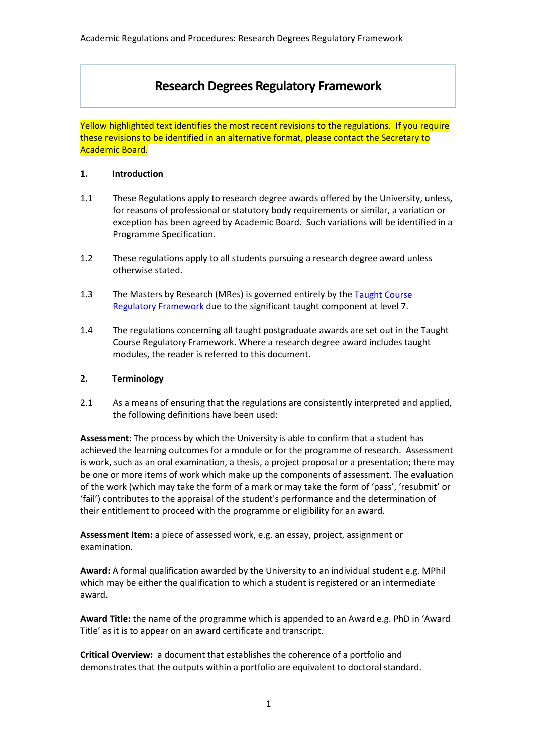# **Research Degrees Regulatory Framework**

Yellow highlighted text identifies the most recent revisions to the regulations. If you require these revisions to be identified in an alternative format, please contact the Secretary to Academic Board.

### **1. Introduction**

- 1.1 These Regulations apply to research degree awards offered by the University, unless, for reasons of professional or statutory body requirements or similar, a variation or exception has been agreed by Academic Board. Such variations will be identified in a Programme Specification.
- 1.2 These regulations apply to all students pursuing a research degree award unless otherwise stated.
- 1.3 The Masters by Research (MRes) is governed entirely by the Taught Course [Regulatory Framework](https://www2.worc.ac.uk/registryservices/documents/TaughtCoursesRegulatoryFramework.pdf) due to the significant taught component at level 7.
- 1.4 The regulations concerning all taught postgraduate awards are set out in the Taught Course Regulatory Framework. Where a research degree award includes taught modules, the reader is referred to this document.

### **2. Terminology**

2.1 As a means of ensuring that the regulations are consistently interpreted and applied, the following definitions have been used:

**Assessment:** The process by which the University is able to confirm that a student has achieved the learning outcomes for a module or for the programme of research. Assessment is work, such as an oral examination, a thesis, a project proposal or a presentation; there may be one or more items of work which make up the components of assessment. The evaluation of the work (which may take the form of a mark or may take the form of 'pass', 'resubmit' or 'fail') contributes to the appraisal of the student's performance and the determination of their entitlement to proceed with the programme or eligibility for an award.

**Assessment Item:** a piece of assessed work, e.g. an essay, project, assignment or examination.

**Award:** A formal qualification awarded by the University to an individual student e.g. MPhil which may be either the qualification to which a student is registered or an intermediate award.

**Award Title:** the name of the programme which is appended to an Award e.g. PhD in 'Award Title' as it is to appear on an award certificate and transcript.

**Critical Overview:** a document that establishes the coherence of a portfolio and demonstrates that the outputs within a portfolio are equivalent to doctoral standard.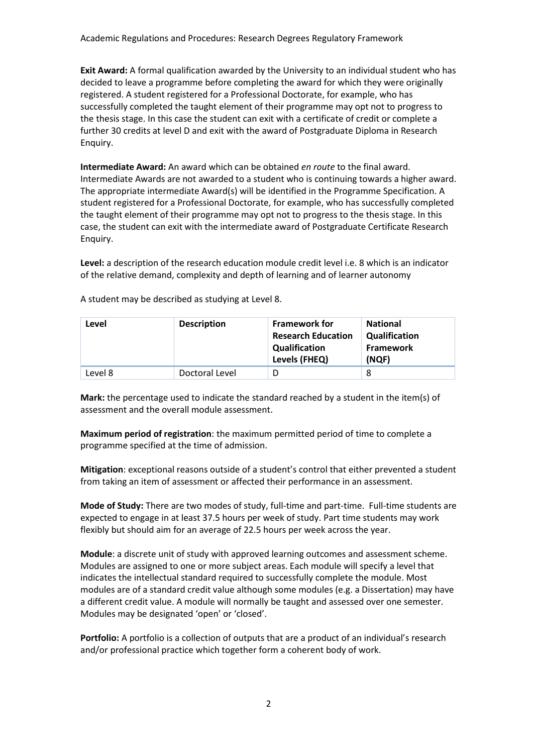**Exit Award:** A formal qualification awarded by the University to an individual student who has decided to leave a programme before completing the award for which they were originally registered. A student registered for a Professional Doctorate, for example, who has successfully completed the taught element of their programme may opt not to progress to the thesis stage. In this case the student can exit with a certificate of credit or complete a further 30 credits at level D and exit with the award of Postgraduate Diploma in Research Enquiry.

**Intermediate Award:** An award which can be obtained *en route* to the final award. Intermediate Awards are not awarded to a student who is continuing towards a higher award. The appropriate intermediate Award(s) will be identified in the Programme Specification. A student registered for a Professional Doctorate, for example, who has successfully completed the taught element of their programme may opt not to progress to the thesis stage. In this case, the student can exit with the intermediate award of Postgraduate Certificate Research Enquiry.

**Level:** a description of the research education module credit level i.e. 8 which is an indicator of the relative demand, complexity and depth of learning and of learner autonomy

| Level   | <b>Description</b> | <b>Framework for</b><br><b>Research Education</b><br><b>Qualification</b><br>Levels (FHEQ) | <b>National</b><br><b>Qualification</b><br><b>Framework</b><br>(NQF) |
|---------|--------------------|--------------------------------------------------------------------------------------------|----------------------------------------------------------------------|
| Level 8 | Doctoral Level     |                                                                                            | 8                                                                    |

A student may be described as studying at Level 8.

**Mark:** the percentage used to indicate the standard reached by a student in the item(s) of assessment and the overall module assessment.

**Maximum period of registration**: the maximum permitted period of time to complete a programme specified at the time of admission.

**Mitigation**: exceptional reasons outside of a student's control that either prevented a student from taking an item of assessment or affected their performance in an assessment.

**Mode of Study:** There are two modes of study, full-time and part-time. Full-time students are expected to engage in at least 37.5 hours per week of study. Part time students may work flexibly but should aim for an average of 22.5 hours per week across the year.

**Module**: a discrete unit of study with approved learning outcomes and assessment scheme. Modules are assigned to one or more subject areas. Each module will specify a level that indicates the intellectual standard required to successfully complete the module. Most modules are of a standard credit value although some modules (e.g. a Dissertation) may have a different credit value. A module will normally be taught and assessed over one semester. Modules may be designated 'open' or 'closed'.

**Portfolio:** A portfolio is a collection of outputs that are a product of an individual's research and/or professional practice which together form a coherent body of work.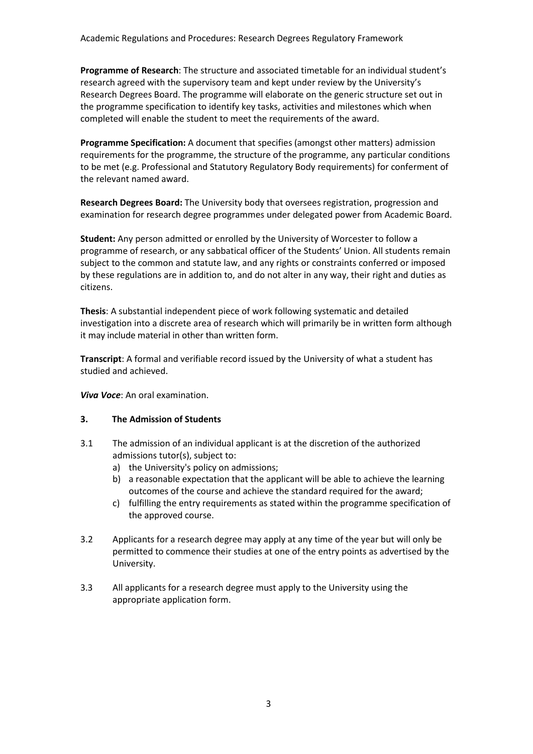**Programme of Research**: The structure and associated timetable for an individual student's research agreed with the supervisory team and kept under review by the University's Research Degrees Board. The programme will elaborate on the generic structure set out in the programme specification to identify key tasks, activities and milestones which when completed will enable the student to meet the requirements of the award.

**Programme Specification:** A document that specifies (amongst other matters) admission requirements for the programme, the structure of the programme, any particular conditions to be met (e.g. Professional and Statutory Regulatory Body requirements) for conferment of the relevant named award.

**Research Degrees Board:** The University body that oversees registration, progression and examination for research degree programmes under delegated power from Academic Board.

**Student:** Any person admitted or enrolled by the University of Worcester to follow a programme of research, or any sabbatical officer of the Students' Union. All students remain subject to the common and statute law, and any rights or constraints conferred or imposed by these regulations are in addition to, and do not alter in any way, their right and duties as citizens.

**Thesis**: A substantial independent piece of work following systematic and detailed investigation into a discrete area of research which will primarily be in written form although it may include material in other than written form.

**Transcript**: A formal and verifiable record issued by the University of what a student has studied and achieved.

*Viva Voce*: An oral examination.

## **3. The Admission of Students**

- 3.1 The admission of an individual applicant is at the discretion of the authorized admissions tutor(s), subject to:
	- a) the [University's policy on admissions;](http://www.worcester.ac.uk/registryservices/documents/AdmissionsPolicy.pdf)
	- b) a reasonable expectation that the applicant will be able to achieve the learning outcomes of the course and achieve the standard required for the award;
	- c) fulfilling the entry requirements as stated within the programme specification of the approved course.
- 3.2 Applicants for a research degree may apply at any time of the year but will only be permitted to commence their studies at one of the entry points as advertised by the University.
- 3.3 All applicants for a research degree must apply to the University using the appropriate application form.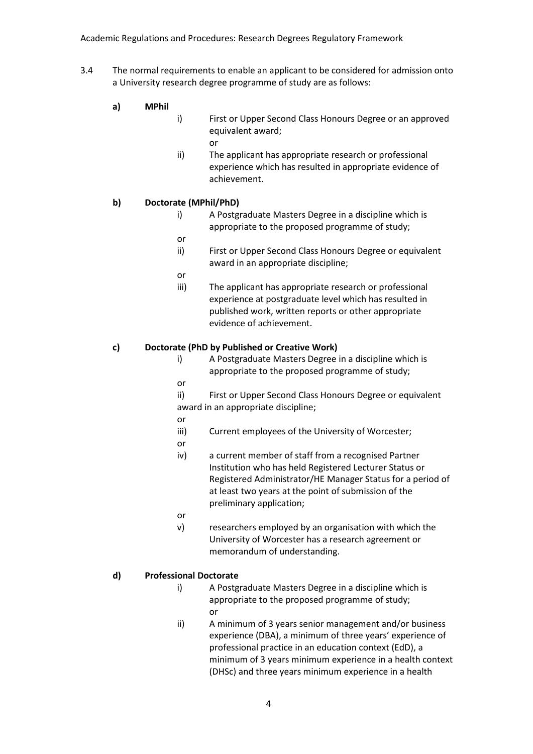- 3.4 The normal requirements to enable an applicant to be considered for admission onto a University research degree programme of study are as follows:
	- **a) MPhil**
		- i) First or Upper Second Class Honours Degree or an approved equivalent award;
			- or
		- ii) The applicant has appropriate research or professional experience which has resulted in appropriate evidence of achievement.

## **b) Doctorate (MPhil/PhD)**

- i) A Postgraduate Masters Degree in a discipline which is appropriate to the proposed programme of study;
- or
- ii) First or Upper Second Class Honours Degree or equivalent award in an appropriate discipline;
- or
- iii) The applicant has appropriate research or professional experience at postgraduate level which has resulted in published work, written reports or other appropriate evidence of achievement.

### **c) Doctorate (PhD by Published or Creative Work)**

- i) A Postgraduate Masters Degree in a discipline which is appropriate to the proposed programme of study;
- or
- ii) First or Upper Second Class Honours Degree or equivalent award in an appropriate discipline;
- or
- iii) Current employees of the University of Worcester;
- or
- iv) a current member of staff from a recognised Partner Institution who has held Registered Lecturer Status or Registered Administrator/HE Manager Status for a period of at least two years at the point of submission of the preliminary application;
- or
- v) researchers employed by an organisation with which the University of Worcester has a research agreement or memorandum of understanding.

## **d) Professional Doctorate**

- i) A Postgraduate Masters Degree in a discipline which is appropriate to the proposed programme of study; or
- ii) A minimum of 3 years senior management and/or business experience (DBA), a minimum of three years' experience of professional practice in an education context (EdD), a minimum of 3 years minimum experience in a health context (DHSc) and three years minimum experience in a health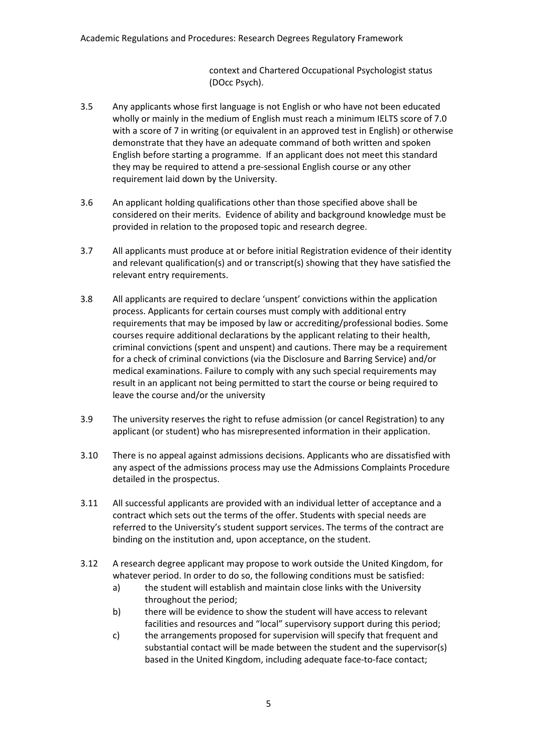context and Chartered Occupational Psychologist status (DOcc Psych).

- 3.5 Any applicants whose first language is not English or who have not been educated wholly or mainly in the medium of English must reach a minimum IELTS score of 7.0 with a score of 7 in writing (or equivalent in an approved test in English) or otherwise demonstrate that they have an adequate command of both written and spoken English before starting a programme. If an applicant does not meet this standard they may be required to attend a pre-sessional English course or any other requirement laid down by the University.
- 3.6 An applicant holding qualifications other than those specified above shall be considered on their merits. Evidence of ability and background knowledge must be provided in relation to the proposed topic and research degree.
- 3.7 All applicants must produce at or before initial Registration evidence of their identity and relevant qualification(s) and or transcript(s) showing that they have satisfied the relevant entry requirements.
- 3.8 All applicants are required to declare 'unspent' convictions within the application process. Applicants for certain courses must comply with additional entry requirements that may be imposed by law or accrediting/professional bodies. Some courses require additional declarations by the applicant relating to their health, criminal convictions (spent and unspent) and cautions. There may be a requirement for a check of criminal convictions (via the Disclosure and Barring Service) and/or medical examinations. Failure to comply with any such special requirements may result in an applicant not being permitted to start the course or being required to leave the course and/or the university
- 3.9 The university reserves the right to refuse admission (or cancel Registration) to any applicant (or student) who has misrepresented information in their application.
- 3.10 There is no appeal against admissions decisions. Applicants who are dissatisfied with any aspect of the admissions process may use the Admissions Complaints Procedure detailed in the prospectus.
- 3.11 All successful applicants are provided with an individual letter of acceptance and a contract which sets out the terms of the offer. Students with special needs are referred to the University's student support services. The terms of the contract are binding on the institution and, upon acceptance, on the student.
- 3.12 A research degree applicant may propose to work outside the United Kingdom, for whatever period. In order to do so, the following conditions must be satisfied:
	- a) the student will establish and maintain close links with the University throughout the period;
	- b) there will be evidence to show the student will have access to relevant facilities and resources and "local" supervisory support during this period;
	- c) the arrangements proposed for supervision will specify that frequent and substantial contact will be made between the student and the supervisor(s) based in the United Kingdom, including adequate face-to-face contact;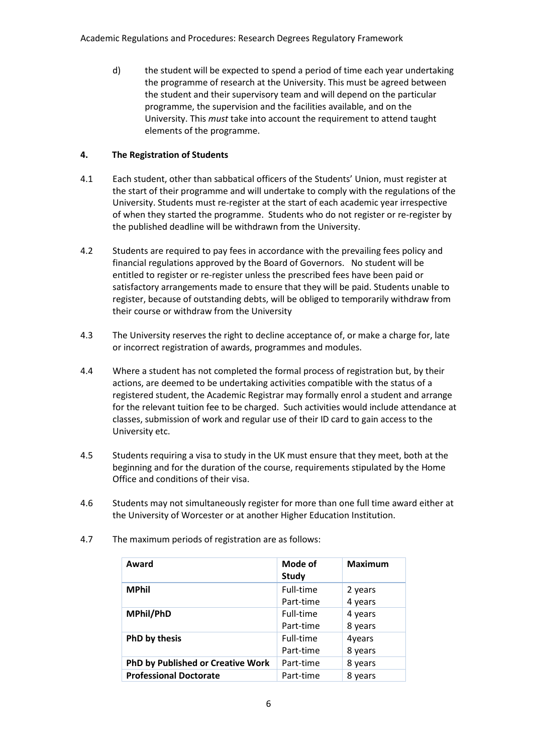d) the student will be expected to spend a period of time each year undertaking the programme of research at the University. This must be agreed between the student and their supervisory team and will depend on the particular programme, the supervision and the facilities available, and on the University. This *must* take into account the requirement to attend taught elements of the programme.

## **4. The Registration of Students**

- 4.1 Each student, other than sabbatical officers of the Students' Union, must register at the start of their programme and will undertake to comply with the regulations of the University. Students must re-register at the start of each academic year irrespective of when they started the programme. Students who do not register or re-register by the published deadline will be withdrawn from the University.
- 4.2 Students are required to pay fees in accordance with the prevailing fees policy and financial regulations approved by the Board of Governors. No student will be entitled to register or re-register unless the prescribed fees have been paid or satisfactory arrangements made to ensure that they will be paid. Students unable to register, because of outstanding debts, will be obliged to temporarily withdraw from their course or withdraw from the University
- 4.3 The University reserves the right to decline acceptance of, or make a charge for, late or incorrect registration of awards, programmes and modules.
- 4.4 Where a student has not completed the formal process of registration but, by their actions, are deemed to be undertaking activities compatible with the status of a registered student, the Academic Registrar may formally enrol a student and arrange for the relevant tuition fee to be charged. Such activities would include attendance at classes, submission of work and regular use of their ID card to gain access to the University etc.
- 4.5 Students requiring a visa to study in the UK must ensure that they meet, both at the beginning and for the duration of the course, requirements stipulated by the Home Office and conditions of their visa.
- 4.6 Students may not simultaneously register for more than one full time award either at the University of Worcester or at another Higher Education Institution.

| Award                                    | Mode of<br><b>Study</b> | <b>Maximum</b> |
|------------------------------------------|-------------------------|----------------|
| <b>MPhil</b>                             | Full-time               | 2 years        |
|                                          | Part-time               | 4 years        |
| MPhil/PhD                                | Full-time               | 4 years        |
|                                          | Part-time               | 8 years        |
| PhD by thesis                            | Full-time               | 4years         |
|                                          | Part-time               | 8 years        |
| <b>PhD by Published or Creative Work</b> | Part-time               | 8 years        |
| <b>Professional Doctorate</b>            | Part-time               | 8 years        |

4.7 The maximum periods of registration are as follows: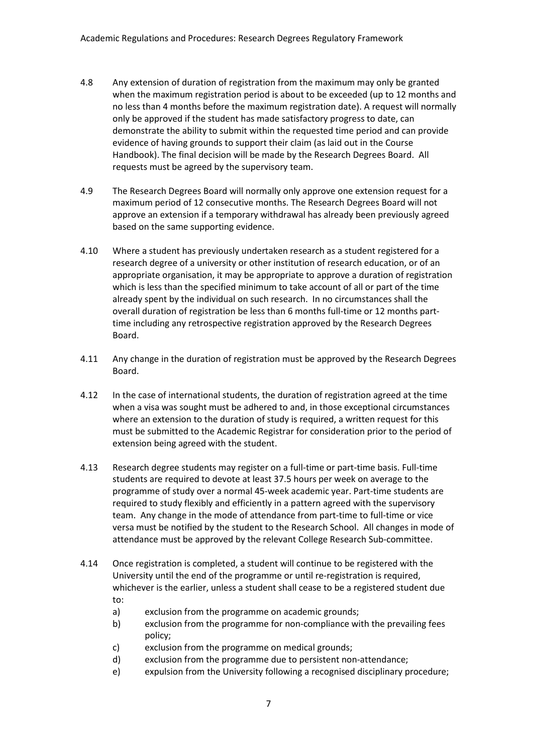- 4.8 Any extension of duration of registration from the maximum may only be granted when the maximum registration period is about to be exceeded (up to 12 months and no less than 4 months before the maximum registration date). A request will normally only be approved if the student has made satisfactory progress to date, can demonstrate the ability to submit within the requested time period and can provide evidence of having grounds to support their claim (as laid out in the Course Handbook). The final decision will be made by the Research Degrees Board. All requests must be agreed by the supervisory team.
- 4.9 The Research Degrees Board will normally only approve one extension request for a maximum period of 12 consecutive months. The Research Degrees Board will not approve an extension if a temporary withdrawal has already been previously agreed based on the same supporting evidence.
- 4.10 Where a student has previously undertaken research as a student registered for a research degree of a university or other institution of research education, or of an appropriate organisation, it may be appropriate to approve a duration of registration which is less than the specified minimum to take account of all or part of the time already spent by the individual on such research. In no circumstances shall the overall duration of registration be less than 6 months full-time or 12 months parttime including any retrospective registration approved by the Research Degrees Board.
- 4.11 Any change in the duration of registration must be approved by the Research Degrees Board.
- 4.12 In the case of international students, the duration of registration agreed at the time when a visa was sought must be adhered to and, in those exceptional circumstances where an extension to the duration of study is required, a written request for this must be submitted to the Academic Registrar for consideration prior to the period of extension being agreed with the student.
- 4.13 Research degree students may register on a full-time or part-time basis. Full-time students are required to devote at least 37.5 hours per week on average to the programme of study over a normal 45-week academic year. Part-time students are required to study flexibly and efficiently in a pattern agreed with the supervisory team. Any change in the mode of attendance from part-time to full-time or vice versa must be notified by the student to the Research School. All changes in mode of attendance must be approved by the relevant College Research Sub-committee.
- 4.14 Once registration is completed, a student will continue to be registered with the University until the end of the programme or until re-registration is required, whichever is the earlier, unless a student shall cease to be a registered student due to:
	- a) exclusion from the programme on academic grounds;
	- b) exclusion from the programme for non-compliance with the prevailing fees policy;
	- c) exclusion from the programme on medical grounds;
	- d) exclusion from the programme due to persistent non-attendance;
	- e) expulsion from the University following a recognised disciplinary procedure;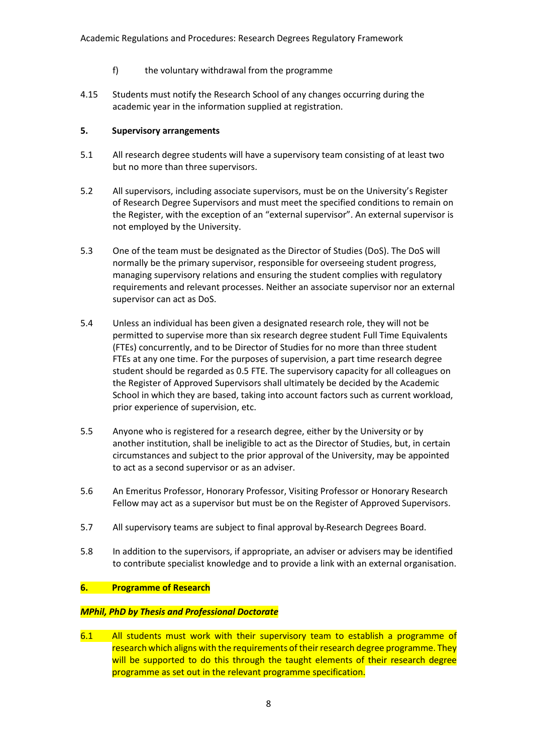- f) the voluntary withdrawal from the programme
- 4.15 Students must notify the Research School of any changes occurring during the academic year in the information supplied at registration.

### **5. Supervisory arrangements**

- 5.1 All research degree students will have a supervisory team consisting of at least two but no more than three supervisors.
- 5.2 All supervisors, including associate supervisors, must be on the University's Register of Research Degree Supervisors and must meet the specified conditions to remain on the Register, with the exception of an "external supervisor". An external supervisor is not employed by the University.
- 5.3 One of the team must be designated as the Director of Studies (DoS). The DoS will normally be the primary supervisor, responsible for overseeing student progress, managing supervisory relations and ensuring the student complies with regulatory requirements and relevant processes. Neither an associate supervisor nor an external supervisor can act as DoS.
- 5.4 Unless an individual has been given a designated research role, they will not be permitted to supervise more than six research degree student Full Time Equivalents (FTEs) concurrently, and to be Director of Studies for no more than three student FTEs at any one time. For the purposes of supervision, a part time research degree student should be regarded as 0.5 FTE. The supervisory capacity for all colleagues on the Register of Approved Supervisors shall ultimately be decided by the Academic School in which they are based, taking into account factors such as current workload, prior experience of supervision, etc.
- 5.5 Anyone who is registered for a research degree, either by the University or by another institution, shall be ineligible to act as the Director of Studies, but, in certain circumstances and subject to the prior approval of the University, may be appointed to act as a second supervisor or as an adviser.
- 5.6 An Emeritus Professor, Honorary Professor, Visiting Professor or Honorary Research Fellow may act as a supervisor but must be on the Register of Approved Supervisors.
- 5.7 All supervisory teams are subject to final approval by Research Degrees Board.
- 5.8 In addition to the supervisors, if appropriate, an adviser or advisers may be identified to contribute specialist knowledge and to provide a link with an external organisation.

#### **6. Programme of Research**

#### *MPhil, PhD by Thesis and Professional Doctorate*

6.1 All students must work with their supervisory team to establish a programme of research which aligns with the requirements of their research degree programme. They will be supported to do this through the taught elements of their research degree programme as set out in the relevant programme specification.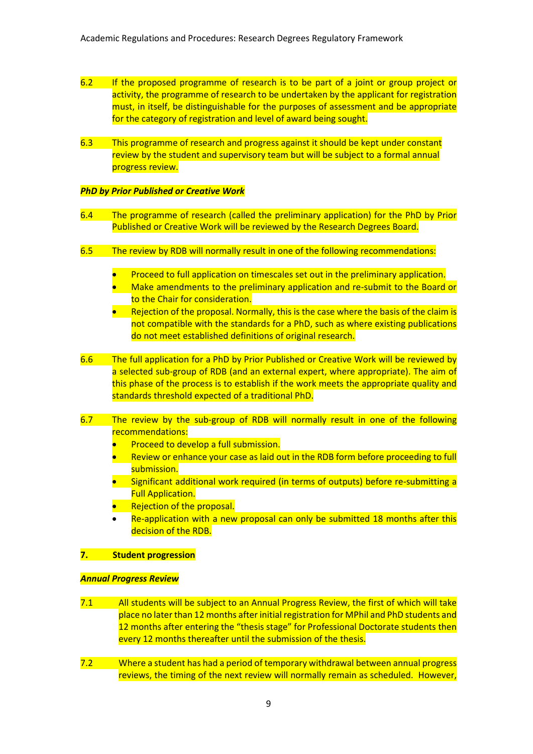- 6.2 If the proposed programme of research is to be part of a joint or group project or activity, the programme of research to be undertaken by the applicant for registration must, in itself, be distinguishable for the purposes of assessment and be appropriate for the category of registration and level of award being sought.
- 6.3 This programme of research and progress against it should be kept under constant review by the student and supervisory team but will be subject to a formal annual progress review.

#### *PhD by Prior Published or Creative Work*

- 6.4 The programme of research (called the preliminary application) for the PhD by Prior Published or Creative Work will be reviewed by the Research Degrees Board.
- 6.5 The review by RDB will normally result in one of the following recommendations:
	- Proceed to full application on timescales set out in the preliminary application.
	- Make amendments to the preliminary application and re-submit to the Board or to the Chair for consideration.
	- Rejection of the proposal. Normally, this is the case where the basis of the claim is not compatible with the standards for a PhD, such as where existing publications do not meet established definitions of original research.
- 6.6 The full application for a PhD by Prior Published or Creative Work will be reviewed by a selected sub-group of RDB (and an external expert, where appropriate). The aim of this phase of the process is to establish if the work meets the appropriate quality and standards threshold expected of a traditional PhD.
- 6.7 The review by the sub-group of RDB will normally result in one of the following recommendations:
	- Proceed to develop a full submission.
	- Review or enhance your case as laid out in the RDB form before proceeding to full submission.
	- Significant additional work required (in terms of outputs) before re-submitting a **Full Application.**
	- Rejection of the proposal.
	- Re-application with a new proposal can only be submitted 18 months after this decision of the RDB.

#### **7. Student progression**

#### *Annual Progress Review*

- 7.1 All students will be subject to an Annual Progress Review, the first of which will take place no later than 12 months after initial registration for MPhil and PhD students and 12 months after entering the "thesis stage" for Professional Doctorate students then every 12 months thereafter until the submission of the thesis.
- 7.2 Where a student has had a period of temporary withdrawal between annual progress reviews, the timing of the next review will normally remain as scheduled. However,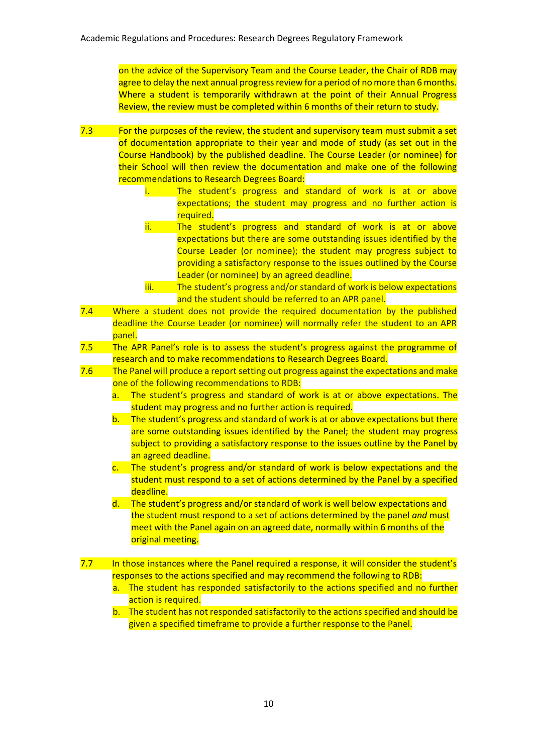on the advice of the Supervisory Team and the Course Leader, the Chair of RDB may agree to delay the next annual progress review for a period of no more than 6 months. Where a student is temporarily withdrawn at the point of their Annual Progress Review, the review must be completed within 6 months of their return to study.

- 7.3 For the purposes of the review, the student and supervisory team must submit a set of documentation appropriate to their year and mode of study (as set out in the Course Handbook) by the published deadline. The Course Leader (or nominee) for their School will then review the documentation and make one of the following recommendations to Research Degrees Board:
	- i. The student's progress and standard of work is at or above expectations; the student may progress and no further action is required.
	- ii. The student's progress and standard of work is at or above expectations but there are some outstanding issues identified by the Course Leader (or nominee); the student may progress subject to providing a satisfactory response to the issues outlined by the Course Leader (or nominee) by an agreed deadline.
	- iii. The student's progress and/or standard of work is below expectations and the student should be referred to an APR panel.
- 7.4 Where a student does not provide the required documentation by the published deadline the Course Leader (or nominee) will normally refer the student to an APR panel.
- 7.5 The APR Panel's role is to assess the student's progress against the programme of research and to make recommendations to Research Degrees Board.
- 7.6 The Panel will produce a report setting out progress against the expectations and make one of the following recommendations to RDB:
	- a. The student's progress and standard of work is at or above expectations. The student may progress and no further action is required.
	- b. The student's progress and standard of work is at or above expectations but there are some outstanding issues identified by the Panel; the student may progress subject to providing a satisfactory response to the issues outline by the Panel by an agreed deadline.
	- c. The student's progress and/or standard of work is below expectations and the student must respond to a set of actions determined by the Panel by a specified deadline.

d. The student's progress and/or standard of work is well below expectations and the student must respond to a set of actions determined by the panel *and* must meet with the Panel again on an agreed date, normally within 6 months of the original meeting.

7.7 In those instances where the Panel required a response, it will consider the student's responses to the actions specified and may recommend the following to RDB:

- a. The student has responded satisfactorily to the actions specified and no further action is required.
- b. The student has not responded satisfactorily to the actions specified and should be given a specified timeframe to provide a further response to the Panel.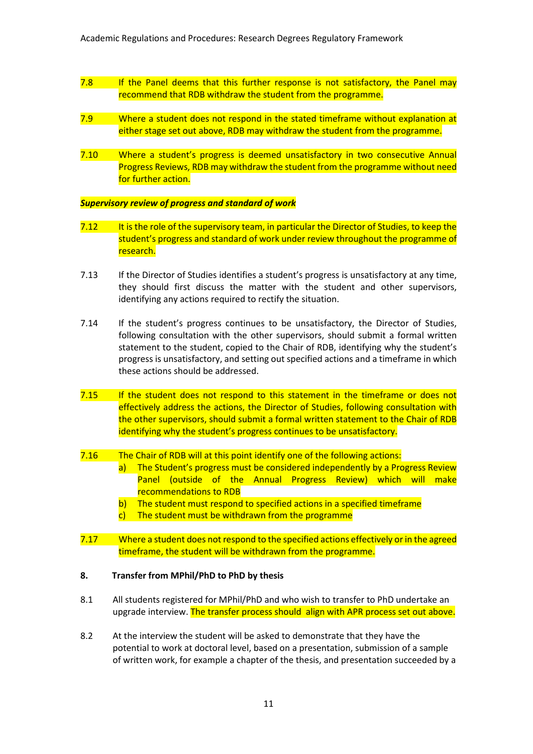- 7.8 If the Panel deems that this further response is not satisfactory, the Panel may recommend that RDB withdraw the student from the programme.
- 7.9 Where a student does not respond in the stated timeframe without explanation at either stage set out above, RDB may withdraw the student from the programme.
- 7.10 Where a student's progress is deemed unsatisfactory in two consecutive Annual Progress Reviews, RDB may withdraw the student from the programme without need for further action.

#### *Supervisory review of progress and standard of work*

- 7.12 It is the role of the supervisory team, in particular the Director of Studies, to keep the student's progress and standard of work under review throughout the programme of research.
- 7.13 If the Director of Studies identifies a student's progress is unsatisfactory at any time, they should first discuss the matter with the student and other supervisors, identifying any actions required to rectify the situation.
- 7.14 If the student's progress continues to be unsatisfactory, the Director of Studies, following consultation with the other supervisors, should submit a formal written statement to the student, copied to the Chair of RDB, identifying why the student's progress is unsatisfactory, and setting out specified actions and a timeframe in which these actions should be addressed.
- 7.15 If the student does not respond to this statement in the timeframe or does not effectively address the actions, the Director of Studies, following consultation with the other supervisors, should submit a formal written statement to the Chair of RDB identifying why the student's progress continues to be unsatisfactory.
- 7.16 The Chair of RDB will at this point identify one of the following actions:
	- a) The Student's progress must be considered independently by a Progress Review Panel (outside of the Annual Progress Review) which will make recommendations to RDB
		- b) The student must respond to specified actions in a specified timeframe
		- c) The student must be withdrawn from the programme
- 7.17 Where a student does not respond to the specified actions effectively or in the agreed timeframe, the student will be withdrawn from the programme.

#### **8. Transfer from MPhil/PhD to PhD by thesis**

- 8.1 All students registered for MPhil/PhD and who wish to transfer to PhD undertake an upgrade interview. The transfer process should align with APR process set out above.
- 8.2 At the interview the student will be asked to demonstrate that they have the potential to work at doctoral level, based on a presentation, submission of a sample of written work, for example a chapter of the thesis, and presentation succeeded by a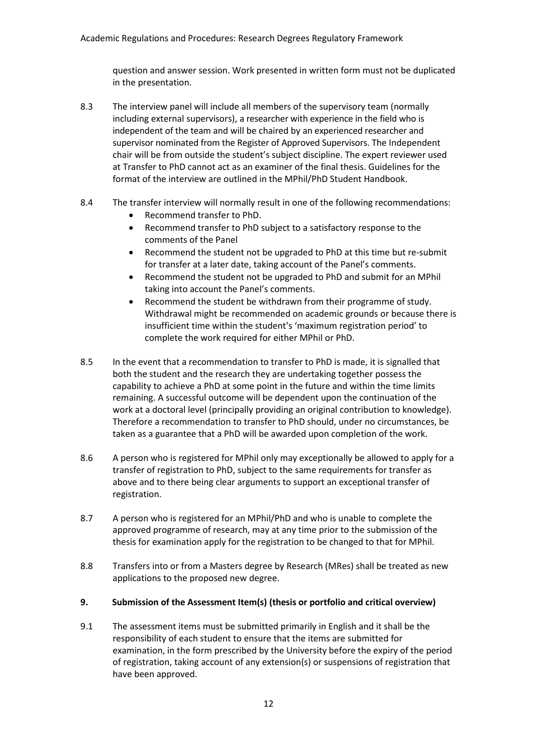question and answer session. Work presented in written form must not be duplicated in the presentation.

- 8.3 The interview panel will include all members of the supervisory team (normally including external supervisors), a researcher with experience in the field who is independent of the team and will be chaired by an experienced researcher and supervisor nominated from the Register of Approved Supervisors. The Independent chair will be from outside the student's subject discipline. The expert reviewer used at Transfer to PhD cannot act as an examiner of the final thesis. Guidelines for the format of the interview are outlined in the MPhil/PhD Student Handbook.
- 8.4 The transfer interview will normally result in one of the following recommendations:
	- Recommend transfer to PhD.
	- Recommend transfer to PhD subject to a satisfactory response to the comments of the Panel
	- Recommend the student not be upgraded to PhD at this time but re-submit for transfer at a later date, taking account of the Panel's comments.
	- Recommend the student not be upgraded to PhD and submit for an MPhil taking into account the Panel's comments.
	- Recommend the student be withdrawn from their programme of study. Withdrawal might be recommended on academic grounds or because there is insufficient time within the student's 'maximum registration period' to complete the work required for either MPhil or PhD.
- 8.5 In the event that a recommendation to transfer to PhD is made, it is signalled that both the student and the research they are undertaking together possess the capability to achieve a PhD at some point in the future and within the time limits remaining. A successful outcome will be dependent upon the continuation of the work at a doctoral level (principally providing an original contribution to knowledge). Therefore a recommendation to transfer to PhD should, under no circumstances, be taken as a guarantee that a PhD will be awarded upon completion of the work.
- 8.6 A person who is registered for MPhil only may exceptionally be allowed to apply for a transfer of registration to PhD, subject to the same requirements for transfer as above and to there being clear arguments to support an exceptional transfer of registration.
- 8.7 A person who is registered for an MPhil/PhD and who is unable to complete the approved programme of research, may at any time prior to the submission of the thesis for examination apply for the registration to be changed to that for MPhil.
- 8.8 Transfers into or from a Masters degree by Research (MRes) shall be treated as new applications to the proposed new degree.
- **9. Submission of the Assessment Item(s) (thesis or portfolio and critical overview)**
- 9.1 The assessment items must be submitted primarily in English and it shall be the responsibility of each student to ensure that the items are submitted for examination, in the form prescribed by the University before the expiry of the period of registration, taking account of any extension(s) or suspensions of registration that have been approved.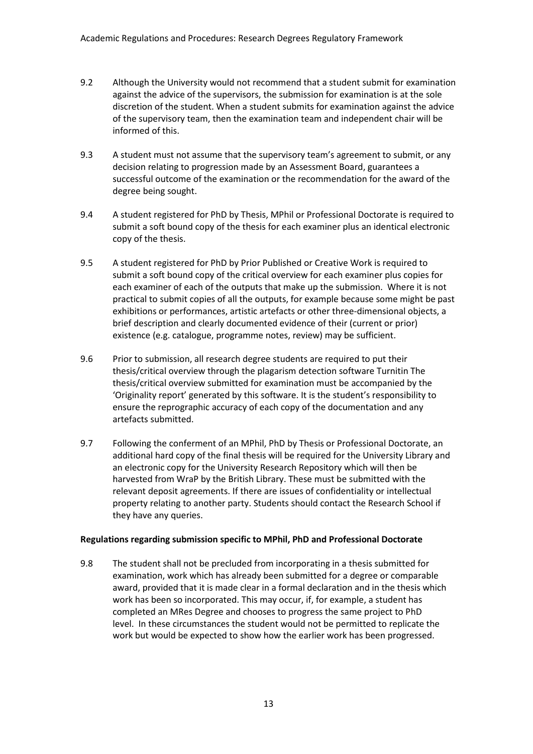- 9.2 Although the University would not recommend that a student submit for examination against the advice of the supervisors, the submission for examination is at the sole discretion of the student. When a student submits for examination against the advice of the supervisory team, then the examination team and independent chair will be informed of this.
- 9.3 A student must not assume that the supervisory team's agreement to submit, or any decision relating to progression made by an Assessment Board, guarantees a successful outcome of the examination or the recommendation for the award of the degree being sought.
- 9.4 A student registered for PhD by Thesis, MPhil or Professional Doctorate is required to submit a soft bound copy of the thesis for each examiner plus an identical electronic copy of the thesis.
- 9.5 A student registered for PhD by Prior Published or Creative Work is required to submit a soft bound copy of the critical overview for each examiner plus copies for each examiner of each of the outputs that make up the submission. Where it is not practical to submit copies of all the outputs, for example because some might be past exhibitions or performances, artistic artefacts or other three-dimensional objects, a brief description and clearly documented evidence of their (current or prior) existence (e.g. catalogue, programme notes, review) may be sufficient.
- 9.6 Prior to submission, all research degree students are required to put their thesis/critical overview through the plagarism detection software Turnitin The thesis/critical overview submitted for examination must be accompanied by the 'Originality report' generated by this software. It is the student's responsibility to ensure the reprographic accuracy of each copy of the documentation and any artefacts submitted.
- 9.7 Following the conferment of an MPhil, PhD by Thesis or Professional Doctorate, an additional hard copy of the final thesis will be required for the University Library and an electronic copy for the University Research Repository which will then be harvested from WraP by the British Library. These must be submitted with the relevant deposit agreements. If there are issues of confidentiality or intellectual property relating to another party. Students should contact the Research School if they have any queries.

## **Regulations regarding submission specific to MPhil, PhD and Professional Doctorate**

9.8 The student shall not be precluded from incorporating in a thesis submitted for examination, work which has already been submitted for a degree or comparable award, provided that it is made clear in a formal declaration and in the thesis which work has been so incorporated. This may occur, if, for example, a student has completed an MRes Degree and chooses to progress the same project to PhD level. In these circumstances the student would not be permitted to replicate the work but would be expected to show how the earlier work has been progressed.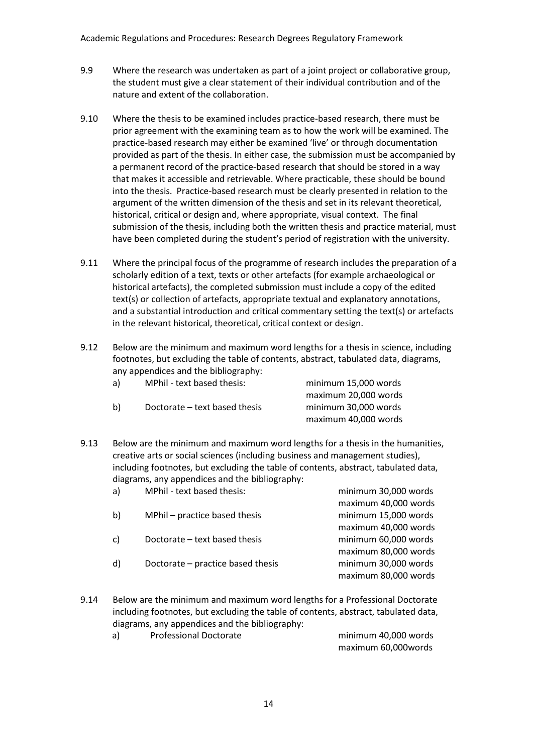- 9.9 Where the research was undertaken as part of a joint project or collaborative group, the student must give a clear statement of their individual contribution and of the nature and extent of the collaboration.
- 9.10 Where the thesis to be examined includes practice-based research, there must be prior agreement with the examining team as to how the work will be examined. The practice-based research may either be examined 'live' or through documentation provided as part of the thesis. In either case, the submission must be accompanied by a permanent record of the practice-based research that should be stored in a way that makes it accessible and retrievable. Where practicable, these should be bound into the thesis. Practice-based research must be clearly presented in relation to the argument of the written dimension of the thesis and set in its relevant theoretical, historical, critical or design and, where appropriate, visual context. The final submission of the thesis, including both the written thesis and practice material, must have been completed during the student's period of registration with the university.
- 9.11 Where the principal focus of the programme of research includes the preparation of a scholarly edition of a text, texts or other artefacts (for example archaeological or historical artefacts), the completed submission must include a copy of the edited text(s) or collection of artefacts, appropriate textual and explanatory annotations, and a substantial introduction and critical commentary setting the text(s) or artefacts in the relevant historical, theoretical, critical context or design.
- 9.12 Below are the minimum and maximum word lengths for a thesis in science, including footnotes, but excluding the table of contents, abstract, tabulated data, diagrams, any appendices and the bibliography:

| a) | MPhil - text based thesis:    | minimum 15,000 words |
|----|-------------------------------|----------------------|
|    |                               | maximum 20,000 words |
| b) | Doctorate – text based thesis | minimum 30.000 words |
|    |                               | maximum 40,000 words |

9.13 Below are the minimum and maximum word lengths for a thesis in the humanities, creative arts or social sciences (including business and management studies), including footnotes, but excluding the table of contents, abstract, tabulated data, diagrams, any appendices and the bibliography:

| a) | MPhil - text based thesis:        | minimum 30,000 words |
|----|-----------------------------------|----------------------|
|    |                                   | maximum 40,000 words |
| b) | MPhil - practice based thesis     | minimum 15,000 words |
|    |                                   | maximum 40,000 words |
| c) | Doctorate - text based thesis     | minimum 60,000 words |
|    |                                   | maximum 80,000 words |
| d) | Doctorate – practice based thesis | minimum 30,000 words |
|    |                                   | maximum 80,000 words |
|    |                                   |                      |

9.14 Below are the minimum and maximum word lengths for a Professional Doctorate including footnotes, but excluding the table of contents, abstract, tabulated data, diagrams, any appendices and the bibliography:

| a) | <b>Professional Doctorate</b> | minimum 40,000 words |
|----|-------------------------------|----------------------|
|    |                               | maximum 60,000words  |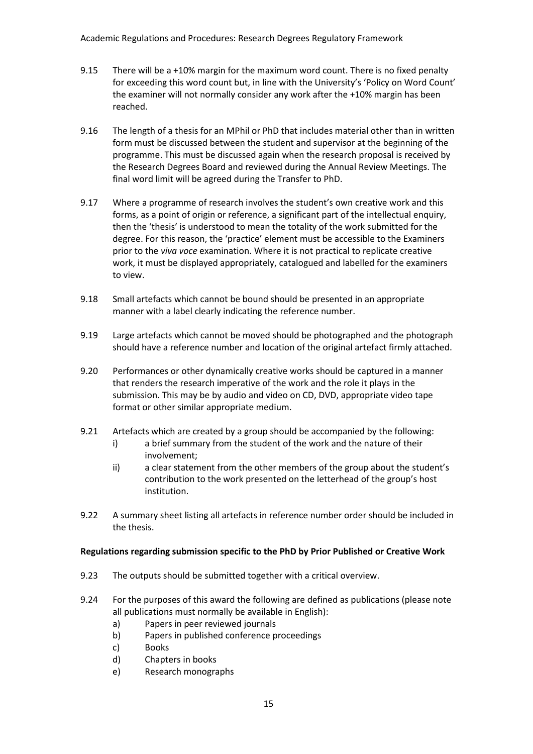- 9.15 There will be a +10% margin for the maximum word count. There is no fixed penalty for exceeding this word count but, in line with the University's 'Policy on Word Count' the examiner will not normally consider any work after the +10% margin has been reached.
- 9.16 The length of a thesis for an MPhil or PhD that includes material other than in written form must be discussed between the student and supervisor at the beginning of the programme. This must be discussed again when the research proposal is received by the Research Degrees Board and reviewed during the Annual Review Meetings. The final word limit will be agreed during the Transfer to PhD.
- 9.17 Where a programme of research involves the student's own creative work and this forms, as a point of origin or reference, a significant part of the intellectual enquiry, then the 'thesis' is understood to mean the totality of the work submitted for the degree. For this reason, the 'practice' element must be accessible to the Examiners prior to the *viva voce* examination. Where it is not practical to replicate creative work, it must be displayed appropriately, catalogued and labelled for the examiners to view.
- 9.18 Small artefacts which cannot be bound should be presented in an appropriate manner with a label clearly indicating the reference number.
- 9.19 Large artefacts which cannot be moved should be photographed and the photograph should have a reference number and location of the original artefact firmly attached.
- 9.20 Performances or other dynamically creative works should be captured in a manner that renders the research imperative of the work and the role it plays in the submission. This may be by audio and video on CD, DVD, appropriate video tape format or other similar appropriate medium.
- 9.21 Artefacts which are created by a group should be accompanied by the following:
	- i) a brief summary from the student of the work and the nature of their involvement;
	- ii) a clear statement from the other members of the group about the student's contribution to the work presented on the letterhead of the group's host institution.
- 9.22 A summary sheet listing all artefacts in reference number order should be included in the thesis.

#### **Regulations regarding submission specific to the PhD by Prior Published or Creative Work**

- 9.23 The outputs should be submitted together with a critical overview.
- 9.24 For the purposes of this award the following are defined as publications (please note all publications must normally be available in English):
	- a) Papers in peer reviewed journals
	- b) Papers in published conference proceedings
	- c) Books
	- d) Chapters in books
	- e) Research monographs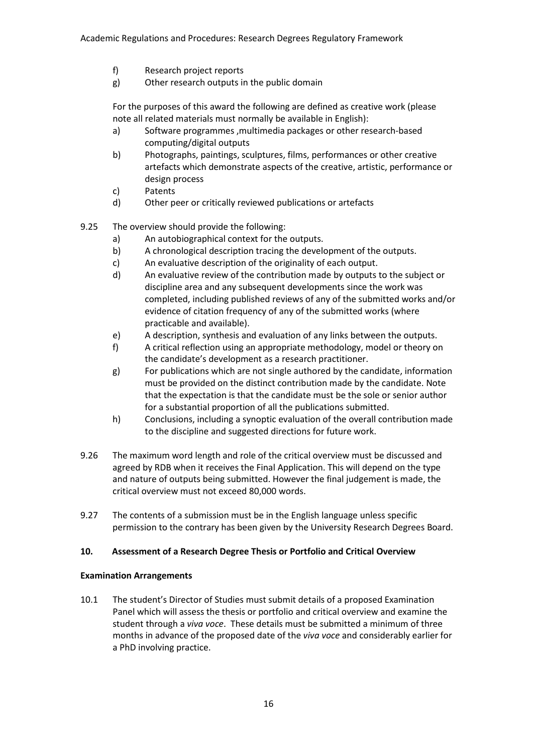- f) Research project reports
- g) Other research outputs in the public domain

For the purposes of this award the following are defined as creative work (please note all related materials must normally be available in English):

- a) Software programmes ,multimedia packages or other research-based computing/digital outputs
- b) Photographs, paintings, sculptures, films, performances or other creative artefacts which demonstrate aspects of the creative, artistic, performance or design process
- c) Patents
- d) Other peer or critically reviewed publications or artefacts
- 9.25 The overview should provide the following:
	- a) An autobiographical context for the outputs.
	- b) A chronological description tracing the development of the outputs.
	- c) An evaluative description of the originality of each output.
	- d) An evaluative review of the contribution made by outputs to the subject or discipline area and any subsequent developments since the work was completed, including published reviews of any of the submitted works and/or evidence of citation frequency of any of the submitted works (where practicable and available).
	- e) A description, synthesis and evaluation of any links between the outputs.
	- f) A critical reflection using an appropriate methodology, model or theory on the candidate's development as a research practitioner.
	- g) For publications which are not single authored by the candidate, information must be provided on the distinct contribution made by the candidate. Note that the expectation is that the candidate must be the sole or senior author for a substantial proportion of all the publications submitted.
	- h) Conclusions, including a synoptic evaluation of the overall contribution made to the discipline and suggested directions for future work.
- 9.26 The maximum word length and role of the critical overview must be discussed and agreed by RDB when it receives the Final Application. This will depend on the type and nature of outputs being submitted. However the final judgement is made, the critical overview must not exceed 80,000 words.
- 9.27 The contents of a submission must be in the English language unless specific permission to the contrary has been given by the University Research Degrees Board.

## **10. Assessment of a Research Degree Thesis or Portfolio and Critical Overview**

## **Examination Arrangements**

10.1 The student's Director of Studies must submit details of a proposed Examination Panel which will assess the thesis or portfolio and critical overview and examine the student through a *viva voce*. These details must be submitted a minimum of three months in advance of the proposed date of the *viva voce* and considerably earlier for a PhD involving practice.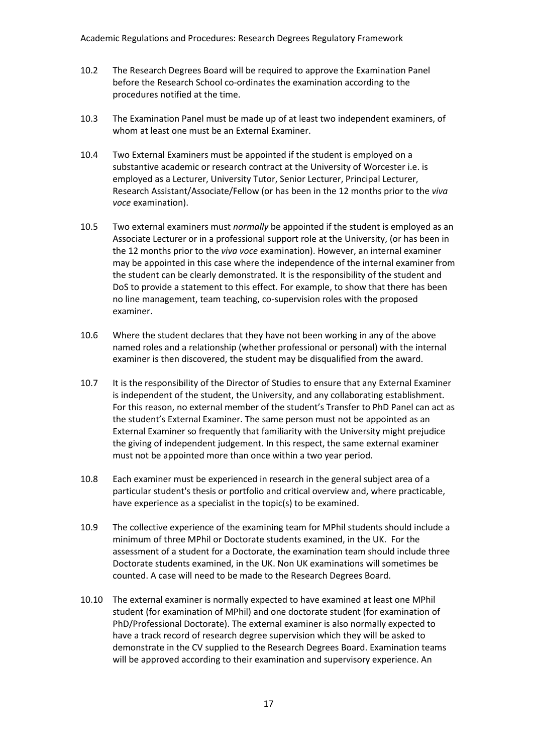- 10.2 The Research Degrees Board will be required to approve the Examination Panel before the Research School co-ordinates the examination according to the procedures notified at the time.
- 10.3 The Examination Panel must be made up of at least two independent examiners, of whom at least one must be an External Examiner.
- 10.4 Two External Examiners must be appointed if the student is employed on a substantive academic or research contract at the University of Worcester i.e. is employed as a Lecturer, University Tutor, Senior Lecturer, Principal Lecturer, Research Assistant/Associate/Fellow (or has been in the 12 months prior to the *viva voce* examination).
- 10.5 Two external examiners must *normally* be appointed if the student is employed as an Associate Lecturer or in a professional support role at the University, (or has been in the 12 months prior to the *viva voce* examination). However, an internal examiner may be appointed in this case where the independence of the internal examiner from the student can be clearly demonstrated. It is the responsibility of the student and DoS to provide a statement to this effect. For example, to show that there has been no line management, team teaching, co-supervision roles with the proposed examiner.
- 10.6 Where the student declares that they have not been working in any of the above named roles and a relationship (whether professional or personal) with the internal examiner is then discovered, the student may be disqualified from the award.
- 10.7 It is the responsibility of the Director of Studies to ensure that any External Examiner is independent of the student, the University, and any collaborating establishment. For this reason, no external member of the student's Transfer to PhD Panel can act as the student's External Examiner. The same person must not be appointed as an External Examiner so frequently that familiarity with the University might prejudice the giving of independent judgement. In this respect, the same external examiner must not be appointed more than once within a two year period.
- 10.8 Each examiner must be experienced in research in the general subject area of a particular student's thesis or portfolio and critical overview and, where practicable, have experience as a specialist in the topic(s) to be examined.
- 10.9 The collective experience of the examining team for MPhil students should include a minimum of three MPhil or Doctorate students examined, in the UK. For the assessment of a student for a Doctorate, the examination team should include three Doctorate students examined, in the UK. Non UK examinations will sometimes be counted. A case will need to be made to the Research Degrees Board.
- 10.10 The external examiner is normally expected to have examined at least one MPhil student (for examination of MPhil) and one doctorate student (for examination of PhD/Professional Doctorate). The external examiner is also normally expected to have a track record of research degree supervision which they will be asked to demonstrate in the CV supplied to the Research Degrees Board. Examination teams will be approved according to their examination and supervisory experience. An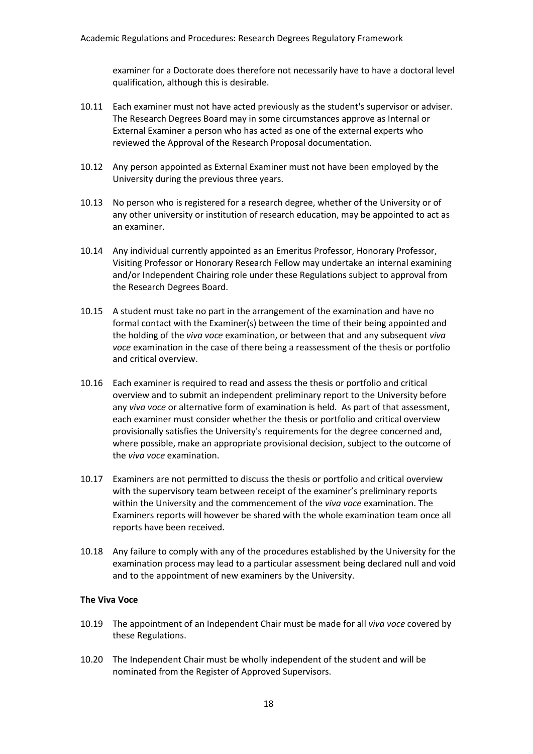examiner for a Doctorate does therefore not necessarily have to have a doctoral level qualification, although this is desirable.

- 10.11 Each examiner must not have acted previously as the student's supervisor or adviser. The Research Degrees Board may in some circumstances approve as Internal or External Examiner a person who has acted as one of the external experts who reviewed the Approval of the Research Proposal documentation.
- 10.12 Any person appointed as External Examiner must not have been employed by the University during the previous three years.
- 10.13 No person who is registered for a research degree, whether of the University or of any other university or institution of research education, may be appointed to act as an examiner.
- 10.14 Any individual currently appointed as an Emeritus Professor, Honorary Professor, Visiting Professor or Honorary Research Fellow may undertake an internal examining and/or Independent Chairing role under these Regulations subject to approval from the Research Degrees Board.
- 10.15 A student must take no part in the arrangement of the examination and have no formal contact with the Examiner(s) between the time of their being appointed and the holding of the *viva voce* examination, or between that and any subsequent *viva voce* examination in the case of there being a reassessment of the thesis or portfolio and critical overview.
- 10.16 Each examiner is required to read and assess the thesis or portfolio and critical overview and to submit an independent preliminary report to the University before any *viva voce* or alternative form of examination is held. As part of that assessment, each examiner must consider whether the thesis or portfolio and critical overview provisionally satisfies the University's requirements for the degree concerned and, where possible, make an appropriate provisional decision, subject to the outcome of the *viva voce* examination.
- 10.17 Examiners are not permitted to discuss the thesis or portfolio and critical overview with the supervisory team between receipt of the examiner's preliminary reports within the University and the commencement of the *viva voce* examination. The Examiners reports will however be shared with the whole examination team once all reports have been received.
- 10.18 Any failure to comply with any of the procedures established by the University for the examination process may lead to a particular assessment being declared null and void and to the appointment of new examiners by the University.

#### **The Viva Voce**

- 10.19 The appointment of an Independent Chair must be made for all *viva voce* covered by these Regulations.
- 10.20 The Independent Chair must be wholly independent of the student and will be nominated from the Register of Approved Supervisors.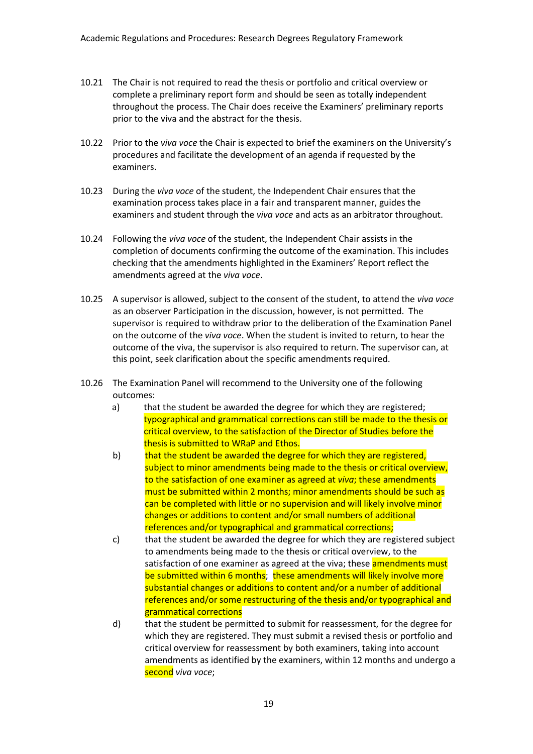- 10.21 The Chair is not required to read the thesis or portfolio and critical overview or complete a preliminary report form and should be seen as totally independent throughout the process. The Chair does receive the Examiners' preliminary reports prior to the viva and the abstract for the thesis.
- 10.22 Prior to the *viva voce* the Chair is expected to brief the examiners on the University's procedures and facilitate the development of an agenda if requested by the examiners.
- 10.23 During the *viva voce* of the student, the Independent Chair ensures that the examination process takes place in a fair and transparent manner, guides the examiners and student through the *viva voce* and acts as an arbitrator throughout.
- 10.24 Following the *viva voce* of the student, the Independent Chair assists in the completion of documents confirming the outcome of the examination. This includes checking that the amendments highlighted in the Examiners' Report reflect the amendments agreed at the *viva voce*.
- 10.25 A supervisor is allowed, subject to the consent of the student, to attend the *viva voce* as an observer Participation in the discussion, however, is not permitted. The supervisor is required to withdraw prior to the deliberation of the Examination Panel on the outcome of the *viva voce*. When the student is invited to return, to hear the outcome of the viva, the supervisor is also required to return. The supervisor can, at this point, seek clarification about the specific amendments required.
- 10.26 The Examination Panel will recommend to the University one of the following outcomes:
	- a) that the student be awarded the degree for which they are registered; typographical and grammatical corrections can still be made to the thesis or critical overview, to the satisfaction of the Director of Studies before the thesis is submitted to WRaP and Ethos.
	- b) that the student be awarded the degree for which they are registered, subject to minor amendments being made to the thesis or critical overview, to the satisfaction of one examiner as agreed at *viva*; these amendments must be submitted within 2 months; minor amendments should be such as can be completed with little or no supervision and will likely involve minor changes or additions to content and/or small numbers of additional references and/or typographical and grammatical corrections;
	- c) that the student be awarded the degree for which they are registered subject to amendments being made to the thesis or critical overview, to the satisfaction of one examiner as agreed at the viva; these **amendments must** be submitted within 6 months; these amendments will likely involve more substantial changes or additions to content and/or a number of additional references and/or some restructuring of the thesis and/or typographical and grammatical corrections
	- d) that the student be permitted to submit for reassessment, for the degree for which they are registered. They must submit a revised thesis or portfolio and critical overview for reassessment by both examiners, taking into account amendments as identified by the examiners, within 12 months and undergo a second *viva voce*;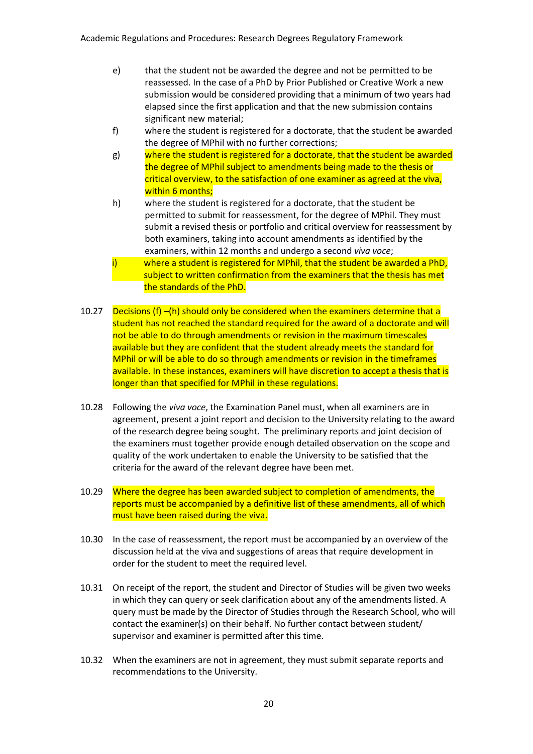- e) that the student not be awarded the degree and not be permitted to be reassessed. In the case of a PhD by Prior Published or Creative Work a new submission would be considered providing that a minimum of two years had elapsed since the first application and that the new submission contains significant new material;
- f) where the student is registered for a doctorate, that the student be awarded the degree of MPhil with no further corrections;
- g) where the student is registered for a doctorate, that the student be awarded the degree of MPhil subject to amendments being made to the thesis or critical overview, to the satisfaction of one examiner as agreed at the viva, within 6 months;
- h) where the student is registered for a doctorate, that the student be permitted to submit for reassessment, for the degree of MPhil. They must submit a revised thesis or portfolio and critical overview for reassessment by both examiners, taking into account amendments as identified by the examiners, within 12 months and undergo a second *viva voce*;
- where a student is registered for MPhil, that the student be awarded a PhD, subject to written confirmation from the examiners that the thesis has met the standards of the PhD.
- 10.27 Decisions (f) –(h) should only be considered when the examiners determine that a student has not reached the standard required for the award of a doctorate and will not be able to do through amendments or revision in the maximum timescales available but they are confident that the student already meets the standard for MPhil or will be able to do so through amendments or revision in the timeframes available. In these instances, examiners will have discretion to accept a thesis that is longer than that specified for MPhil in these regulations.
- 10.28 Following the *viva voce*, the Examination Panel must, when all examiners are in agreement, present a joint report and decision to the University relating to the award of the research degree being sought. The preliminary reports and joint decision of the examiners must together provide enough detailed observation on the scope and quality of the work undertaken to enable the University to be satisfied that the criteria for the award of the relevant degree have been met.
- 10.29 Where the degree has been awarded subject to completion of amendments, the reports must be accompanied by a definitive list of these amendments, all of which must have been raised during the viva.
- 10.30 In the case of reassessment, the report must be accompanied by an overview of the discussion held at the viva and suggestions of areas that require development in order for the student to meet the required level.
- 10.31 On receipt of the report, the student and Director of Studies will be given two weeks in which they can query or seek clarification about any of the amendments listed. A query must be made by the Director of Studies through the Research School, who will contact the examiner(s) on their behalf. No further contact between student/ supervisor and examiner is permitted after this time.
- 10.32 When the examiners are not in agreement, they must submit separate reports and recommendations to the University.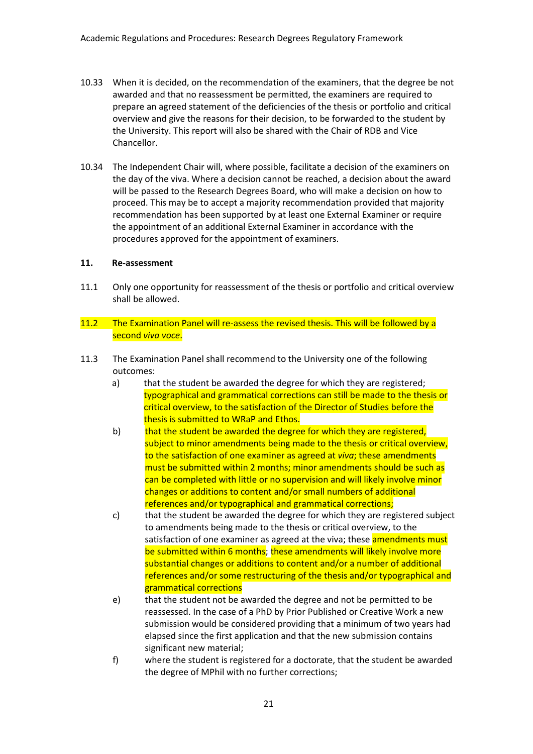- 10.33 When it is decided, on the recommendation of the examiners, that the degree be not awarded and that no reassessment be permitted, the examiners are required to prepare an agreed statement of the deficiencies of the thesis or portfolio and critical overview and give the reasons for their decision, to be forwarded to the student by the University. This report will also be shared with the Chair of RDB and Vice Chancellor.
- 10.34 The Independent Chair will, where possible, facilitate a decision of the examiners on the day of the viva. Where a decision cannot be reached, a decision about the award will be passed to the Research Degrees Board, who will make a decision on how to proceed. This may be to accept a majority recommendation provided that majority recommendation has been supported by at least one External Examiner or require the appointment of an additional External Examiner in accordance with the procedures approved for the appointment of examiners.

#### **11. Re-assessment**

- 11.1 Only one opportunity for reassessment of the thesis or portfolio and critical overview shall be allowed.
- 11.2 The Examination Panel will re-assess the revised thesis. This will be followed by a second *viva voce*.
- 11.3 The Examination Panel shall recommend to the University one of the following outcomes:
	- a) that the student be awarded the degree for which they are registered; typographical and grammatical corrections can still be made to the thesis or critical overview, to the satisfaction of the Director of Studies before the thesis is submitted to WRaP and Ethos.
	- b) that the student be awarded the degree for which they are registered, subject to minor amendments being made to the thesis or critical overview, to the satisfaction of one examiner as agreed at *viva*; these amendments must be submitted within 2 months; minor amendments should be such as can be completed with little or no supervision and will likely involve minor changes or additions to content and/or small numbers of additional references and/or typographical and grammatical corrections;
	- c) that the student be awarded the degree for which they are registered subject to amendments being made to the thesis or critical overview, to the satisfaction of one examiner as agreed at the viva; these **amendments must** be submitted within 6 months; these amendments will likely involve more substantial changes or additions to content and/or a number of additional references and/or some restructuring of the thesis and/or typographical and grammatical corrections
	- e) that the student not be awarded the degree and not be permitted to be reassessed. In the case of a PhD by Prior Published or Creative Work a new submission would be considered providing that a minimum of two years had elapsed since the first application and that the new submission contains significant new material;
	- f) where the student is registered for a doctorate, that the student be awarded the degree of MPhil with no further corrections;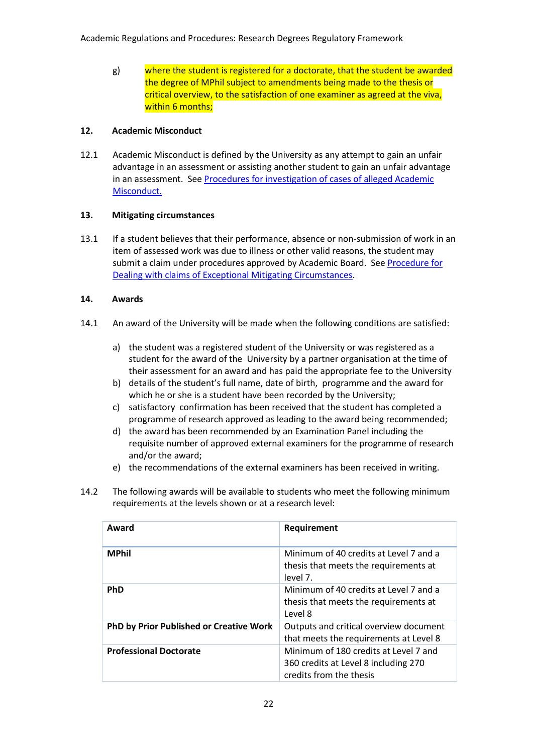g) where the student is registered for a doctorate, that the student be awarded the degree of MPhil subject to amendments being made to the thesis or critical overview, to the satisfaction of one examiner as agreed at the viva, within 6 months;

### **12. Academic Misconduct**

12.1 Academic Misconduct is defined by the University as any attempt to gain an unfair advantage in an assessment or assisting another student to gain an unfair advantage in an assessment. See [Procedures for investigation of cases of alleged Academic](http://www.worcester.ac.uk/registryservices/documents/Proceduresforinvestigationofallegedacademicmisconduct.pdf)  [Misconduct.](http://www.worcester.ac.uk/registryservices/documents/Proceduresforinvestigationofallegedacademicmisconduct.pdf)

### **13. Mitigating circumstances**

13.1 If a student believes that their performance, absence or non-submission of work in an item of assessed work was due to illness or other valid reasons, the student may submit a claim under procedures approved by Academic Board. See [Procedure for](http://www.worcester.ac.uk/registryservices/documents/Proceduresformitigatingcircumstances.pdf)  [Dealing with claims of Exceptional Mitigating Circumstances.](http://www.worcester.ac.uk/registryservices/documents/Proceduresformitigatingcircumstances.pdf)

### **14. Awards**

- 14.1 An award of the University will be made when the following conditions are satisfied:
	- a) the student was a registered student of the University or was registered as a student for the award of the University by a partner organisation at the time of their assessment for an award and has paid the appropriate fee to the University
	- b) details of the student's full name, date of birth, programme and the award for which he or she is a student have been recorded by the University;
	- c) satisfactory confirmation has been received that the student has completed a programme of research approved as leading to the award being recommended;
	- d) the award has been recommended by an Examination Panel including the requisite number of approved external examiners for the programme of research and/or the award;
	- e) the recommendations of the external examiners has been received in writing.
- 14.2 The following awards will be available to students who meet the following minimum requirements at the levels shown or at a research level:

| Award                                          | Requirement                                                                                              |
|------------------------------------------------|----------------------------------------------------------------------------------------------------------|
| <b>MPhil</b>                                   | Minimum of 40 credits at Level 7 and a<br>thesis that meets the requirements at<br>level 7.              |
| <b>PhD</b>                                     | Minimum of 40 credits at Level 7 and a<br>thesis that meets the requirements at<br>Level 8               |
| <b>PhD by Prior Published or Creative Work</b> | Outputs and critical overview document<br>that meets the requirements at Level 8                         |
| <b>Professional Doctorate</b>                  | Minimum of 180 credits at Level 7 and<br>360 credits at Level 8 including 270<br>credits from the thesis |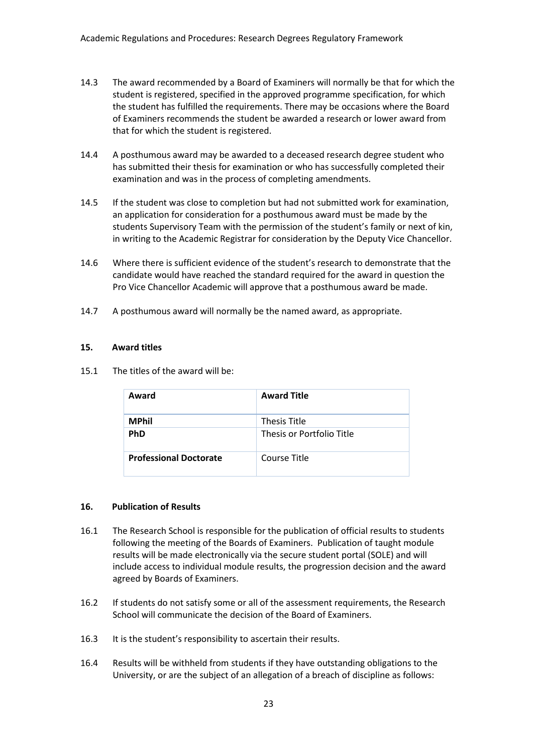- 14.3 The award recommended by a Board of Examiners will normally be that for which the student is registered, specified in the approved programme specification, for which the student has fulfilled the requirements. There may be occasions where the Board of Examiners recommends the student be awarded a research or lower award from that for which the student is registered.
- 14.4 A posthumous award may be awarded to a deceased research degree student who has submitted their thesis for examination or who has successfully completed their examination and was in the process of completing amendments.
- 14.5 If the student was close to completion but had not submitted work for examination, an application for consideration for a posthumous award must be made by the students Supervisory Team with the permission of the student's family or next of kin, in writing to the Academic Registrar for consideration by the Deputy Vice Chancellor.
- 14.6 Where there is sufficient evidence of the student's research to demonstrate that the candidate would have reached the standard required for the award in question the Pro Vice Chancellor Academic will approve that a posthumous award be made.
- 14.7 A posthumous award will normally be the named award, as appropriate.

#### **15. Award titles**

15.1 The titles of the award will be:

| Award                         | <b>Award Title</b>        |
|-------------------------------|---------------------------|
| <b>MPhil</b>                  | <b>Thesis Title</b>       |
| <b>PhD</b>                    | Thesis or Portfolio Title |
| <b>Professional Doctorate</b> | Course Title              |

#### **16. Publication of Results**

- 16.1 The Research School is responsible for the publication of official results to students following the meeting of the Boards of Examiners. Publication of taught module results will be made electronically via the secure student portal (SOLE) and will include access to individual module results, the progression decision and the award agreed by Boards of Examiners.
- 16.2 If students do not satisfy some or all of the assessment requirements, the Research School will communicate the decision of the Board of Examiners.
- 16.3 It is the student's responsibility to ascertain their results.
- 16.4 Results will be withheld from students if they have outstanding obligations to the University, or are the subject of an allegation of a breach of discipline as follows: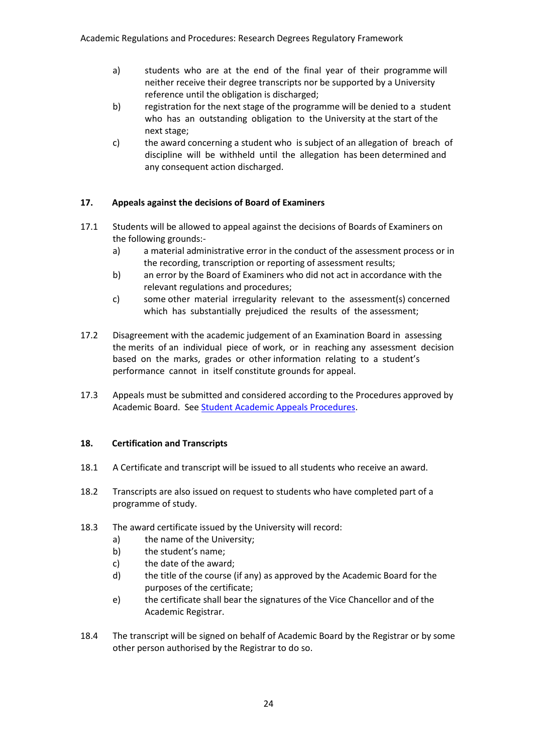- a) students who are at the end of the final year of their programme will neither receive their degree transcripts nor be supported by a University reference until the obligation is discharged;
- b) registration for the next stage of the programme will be denied to a student who has an outstanding obligation to the University at the start of the next stage;
- c) the award concerning a student who is subject of an allegation of breach of discipline will be withheld until the allegation has been determined and any consequent action discharged.

# **17. Appeals against the decisions of Board of Examiners**

- 17.1 Students will be allowed to appeal against the decisions of Boards of Examiners on the following grounds:
	- a) a material administrative error in the conduct of the assessment process or in the recording, transcription or reporting of assessment results;
	- b) an error by the Board of Examiners who did not act in accordance with the relevant regulations and procedures;
	- c) some other material irregularity relevant to the assessment(s) concerned which has substantially prejudiced the results of the assessment;
- 17.2 Disagreement with the academic judgement of an Examination Board in assessing the merits of an individual piece of work, or in reaching any assessment decision based on the marks, grades or other information relating to a student's performance cannot in itself constitute grounds for appeal.
- 17.3 Appeals must be submitted and considered according to the Procedures approved by Academic Board. Se[e Student Academic Appeals Procedures.](http://www.worcester.ac.uk/registryservices/documents/ProceduresforAppeals.pdf)

## **18. Certification and Transcripts**

- 18.1 A Certificate and transcript will be issued to all students who receive an award.
- 18.2 Transcripts are also issued on request to students who have completed part of a programme of study.
- 18.3 The award certificate issued by the University will record:
	- a) the name of the University;
	- b) the student's name;
	- c) the date of the award;
	- d) the title of the course (if any) as approved by the Academic Board for the purposes of the certificate;
	- e) the certificate shall bear the signatures of the Vice Chancellor and of the Academic Registrar.
- 18.4 The transcript will be signed on behalf of Academic Board by the Registrar or by some other person authorised by the Registrar to do so.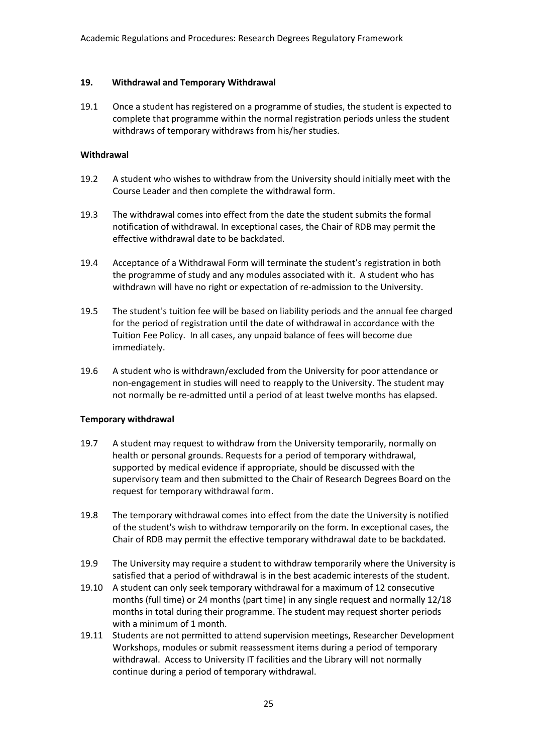#### **19. Withdrawal and Temporary Withdrawal**

19.1 Once a student has registered on a programme of studies, the student is expected to complete that programme within the normal registration periods unless the student withdraws of temporary withdraws from his/her studies.

### **Withdrawal**

- 19.2 A student who wishes to withdraw from the University should initially meet with the Course Leader and then complete the withdrawal form.
- 19.3 The withdrawal comes into effect from the date the student submits the formal notification of withdrawal. In exceptional cases, the Chair of RDB may permit the effective withdrawal date to be backdated.
- 19.4 Acceptance of a Withdrawal Form will terminate the student's registration in both the programme of study and any modules associated with it. A student who has withdrawn will have no right or expectation of re-admission to the University.
- 19.5 The student's tuition fee will be based on liability periods and the annual fee charged for the period of registration until the date of withdrawal in accordance with the Tuition Fee Policy. In all cases, any unpaid balance of fees will become due immediately.
- 19.6 A student who is withdrawn/excluded from the University for poor attendance or non-engagement in studies will need to reapply to the University. The student may not normally be re-admitted until a period of at least twelve months has elapsed.

#### **Temporary withdrawal**

- 19.7 A student may request to withdraw from the University temporarily, normally on health or personal grounds. Requests for a period of temporary withdrawal, supported by medical evidence if appropriate, should be discussed with the supervisory team and then submitted to the Chair of Research Degrees Board on the request for temporary withdrawal form.
- 19.8 The temporary withdrawal comes into effect from the date the University is notified of the student's wish to withdraw temporarily on the form. In exceptional cases, the Chair of RDB may permit the effective temporary withdrawal date to be backdated.
- 19.9 The University may require a student to withdraw temporarily where the University is satisfied that a period of withdrawal is in the best academic interests of the student.
- 19.10 A student can only seek temporary withdrawal for a maximum of 12 consecutive months (full time) or 24 months (part time) in any single request and normally 12/18 months in total during their programme. The student may request shorter periods with a minimum of 1 month.
- 19.11 Students are not permitted to attend supervision meetings, Researcher Development Workshops, modules or submit reassessment items during a period of temporary withdrawal. Access to University IT facilities and the Library will not normally continue during a period of temporary withdrawal.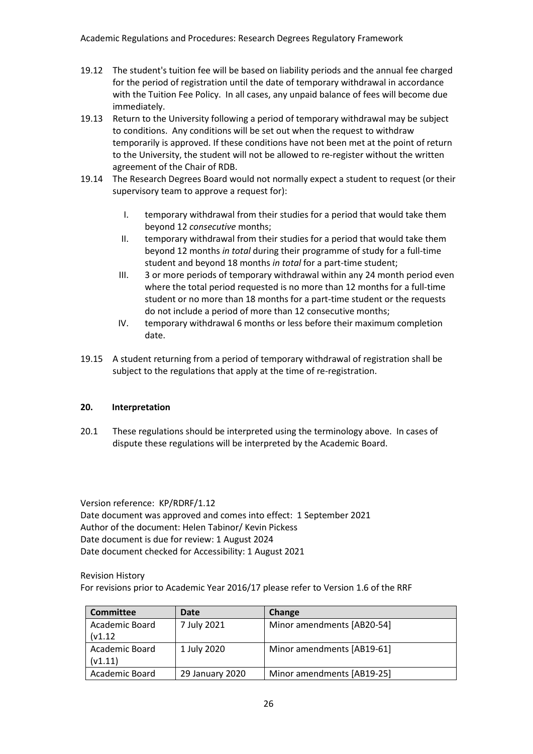- 19.12 The student's tuition fee will be based on liability periods and the annual fee charged for the period of registration until the date of temporary withdrawal in accordance with the Tuition Fee Policy. In all cases, any unpaid balance of fees will become due immediately.
- 19.13 Return to the University following a period of temporary withdrawal may be subject to conditions. Any conditions will be set out when the request to withdraw temporarily is approved. If these conditions have not been met at the point of return to the University, the student will not be allowed to re-register without the written agreement of the Chair of RDB.
- 19.14 The Research Degrees Board would not normally expect a student to request (or their supervisory team to approve a request for):
	- I. temporary withdrawal from their studies for a period that would take them beyond 12 *consecutive* months;
	- II. temporary withdrawal from their studies for a period that would take them beyond 12 months *in total* during their programme of study for a full-time student and beyond 18 months *in total* for a part-time student;
	- III. 3 or more periods of temporary withdrawal within any 24 month period even where the total period requested is no more than 12 months for a full-time student or no more than 18 months for a part-time student or the requests do not include a period of more than 12 consecutive months;
	- IV. temporary withdrawal 6 months or less before their maximum completion date.
- 19.15 A student returning from a period of temporary withdrawal of registration shall be subject to the regulations that apply at the time of re-registration.

## **20. Interpretation**

20.1 These regulations should be interpreted using the terminology above. In cases of dispute these regulations will be interpreted by the Academic Board.

Version reference: KP/RDRF/1.12 Date document was approved and comes into effect: 1 September 2021 Author of the document: Helen Tabinor/ Kevin Pickess Date document is due for review: 1 August 2024 Date document checked for Accessibility: 1 August 2021

Revision History

For revisions prior to Academic Year 2016/17 please refer to Version 1.6 of the RRF

| <b>Committee</b> | Date            | Change                     |
|------------------|-----------------|----------------------------|
| Academic Board   | 7 July 2021     | Minor amendments [AB20-54] |
| (v1.12)          |                 |                            |
| Academic Board   | 1 July 2020     | Minor amendments [AB19-61] |
| (v1.11)          |                 |                            |
| Academic Board   | 29 January 2020 | Minor amendments [AB19-25] |